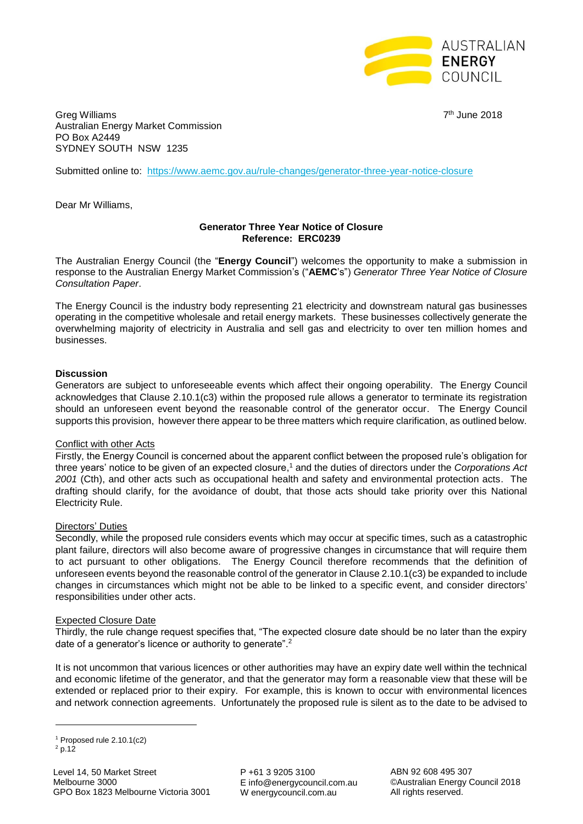

Greg Williams 7 Australian Energy Market Commission PO Box A2449 SYDNEY SOUTH NSW 1235

7<sup>th</sup> June 2018

Submitted online to: <https://www.aemc.gov.au/rule-changes/generator-three-year-notice-closure>

Dear Mr Williams,

# **Generator Three Year Notice of Closure Reference: ERC0239**

The Australian Energy Council (the "**Energy Council**") welcomes the opportunity to make a submission in response to the Australian Energy Market Commission's ("**AEMC**'s") *Generator Three Year Notice of Closure Consultation Paper*.

The Energy Council is the industry body representing 21 electricity and downstream natural gas businesses operating in the competitive wholesale and retail energy markets. These businesses collectively generate the overwhelming majority of electricity in Australia and sell gas and electricity to over ten million homes and businesses.

## **Discussion**

Generators are subject to unforeseeable events which affect their ongoing operability. The Energy Council acknowledges that Clause 2.10.1(c3) within the proposed rule allows a generator to terminate its registration should an unforeseen event beyond the reasonable control of the generator occur. The Energy Council supports this provision, however there appear to be three matters which require clarification, as outlined below.

### Conflict with other Acts

Firstly, the Energy Council is concerned about the apparent conflict between the proposed rule's obligation for three years' notice to be given of an expected closure, <sup>1</sup> and the duties of directors under the *Corporations Act 2001* (Cth), and other acts such as occupational health and safety and environmental protection acts. The drafting should clarify, for the avoidance of doubt, that those acts should take priority over this National Electricity Rule.

### Directors' Duties

Secondly, while the proposed rule considers events which may occur at specific times, such as a catastrophic plant failure, directors will also become aware of progressive changes in circumstance that will require them to act pursuant to other obligations. The Energy Council therefore recommends that the definition of unforeseen events beyond the reasonable control of the generator in Clause 2.10.1(c3) be expanded to include changes in circumstances which might not be able to be linked to a specific event, and consider directors' responsibilities under other acts.

### Expected Closure Date

Thirdly, the rule change request specifies that, "The expected closure date should be no later than the expiry date of a generator's licence or authority to generate".<sup>2</sup>

It is not uncommon that various licences or other authorities may have an expiry date well within the technical and economic lifetime of the generator, and that the generator may form a reasonable view that these will be extended or replaced prior to their expiry. For example, this is known to occur with environmental licences and network connection agreements. Unfortunately the proposed rule is silent as to the date to be advised to

**.** 

P +61 3 9205 3100 E info@energycouncil.com.au W energycouncil.com.au

ABN 92 608 495 307 ©Australian Energy Council 2018 All rights reserved.

<sup>1</sup> Proposed rule 2.10.1(c2)

 $2$  p.12